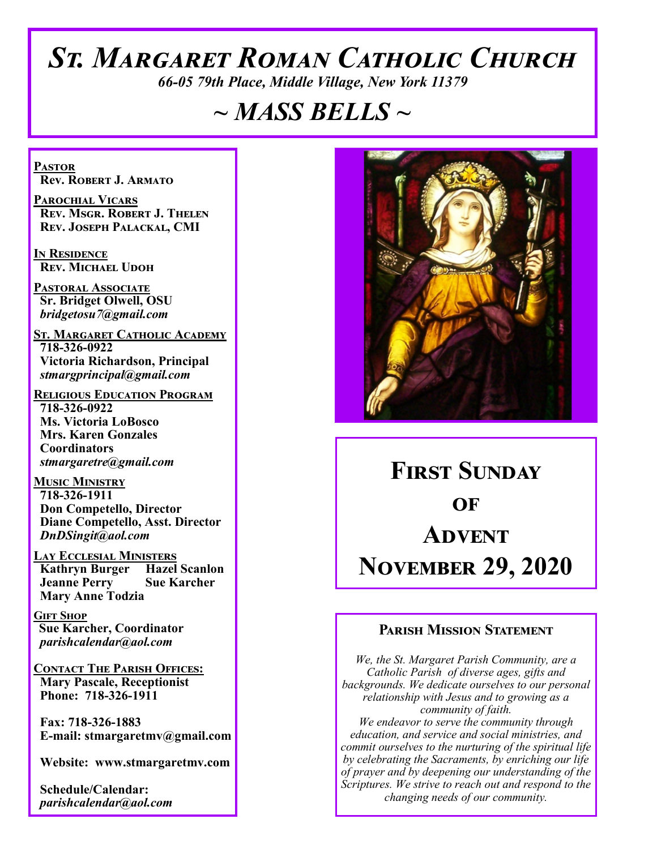# *St. Margaret Roman Catholic Church*

*66-05 79th Place, Middle Village, New York 11379*

# *~ MASS BELLS ~*

**Pastor Rev. Robert J. Armato**

**Parochial Vicars Rev. Msgr. Robert J. Thelen Rev. Joseph Palackal, CMI**

**In Residence Rev. Michael Udoh**

**Pastoral Associate Sr. Bridget Olwell, OSU**  *bridgetosu7@gmail.com*

**St. Margaret Catholic Academy 718-326-0922 Victoria Richardson, Principal**  *stmargprincipal@gmail.com*

**Religious Education Program 718-326-0922 Ms. Victoria LoBosco Mrs. Karen Gonzales Coordinators** *stmargaretre@gmail.com*

**Music Ministry 718-326-1911 Don Competello, Director Diane Competello, Asst. Director** *DnDSingit@aol.com*

**LAY ECCLESIAL MINISTERS<br>
Kathryn Burger Hazel Scanlon Kathryn Burger Jeanne Perry Sue Karcher Mary Anne Todzia**

**Gift Shop Sue Karcher, Coordinator** *parishcalendar@aol.com*

**Contact The Parish Offices: Mary Pascale, Receptionist Phone: 718-326-1911** 

 **Fax: 718-326-1883 E-mail: stmargaretmv@gmail.com**

 **Website: www.stmargaretmv.com**

 **Schedule/Calendar:** *parishcalendar@aol.com* 



**First Sunday**   $\Omega$ **F Advent November 29, 2020** 

#### **Parish Mission Statement**

*We, the St. Margaret Parish Community, are a Catholic Parish of diverse ages, gifts and backgrounds. We dedicate ourselves to our personal relationship with Jesus and to growing as a community of faith. We endeavor to serve the community through education, and service and social ministries, and commit ourselves to the nurturing of the spiritual life by celebrating the Sacraments, by enriching our life of prayer and by deepening our understanding of the Scriptures. We strive to reach out and respond to the changing needs of our community.*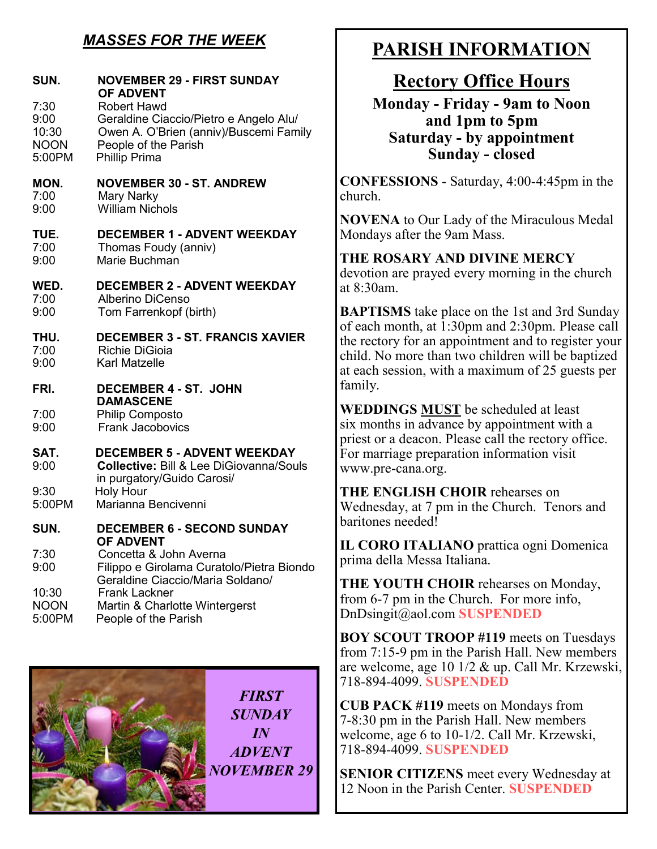# *MASSES FOR THE WEEK*

| SUN.<br>7:30<br>9:00<br>10:30<br><b>NOON</b><br>5:00PM | <b>NOVEMBER 29 - FIRST SUNDAY</b><br><b>OF ADVENT</b><br><b>Robert Hawd</b><br>Geraldine Ciaccio/Pietro e Angelo Alu/<br>Owen A. O'Brien (anniv)/Buscemi Family<br>People of the Parish<br><b>Phillip Prima</b> |  |
|--------------------------------------------------------|-----------------------------------------------------------------------------------------------------------------------------------------------------------------------------------------------------------------|--|
| MON.<br>7:00<br>9:00                                   | <b>NOVEMBER 30 - ST. ANDREW</b><br>Mary Narky<br><b>William Nichols</b>                                                                                                                                         |  |
| TUE.<br>7:00<br>9:00                                   | <b>DECEMBER 1 - ADVENT WEEKDAY</b><br>Thomas Foudy (anniv)<br>Marie Buchman                                                                                                                                     |  |
| WED.<br>7:00<br>9:00                                   | <b>DECEMBER 2 - ADVENT WEEKDAY</b><br>Alberino DiCenso<br>Tom Farrenkopf (birth)                                                                                                                                |  |
| THU.<br>7:00<br>9:00                                   | <b>DECEMBER 3 - ST. FRANCIS XAVIER</b><br><b>Richie DiGioia</b><br><b>Karl Matzelle</b>                                                                                                                         |  |
| FRI.<br>7:00<br>9:00                                   | <b>DECEMBER 4 - ST. JOHN</b><br><b>DAMASCENE</b><br><b>Philip Composto</b><br>Frank Jacobovics                                                                                                                  |  |
| SAT.<br>9:00                                           | <b>DECEMBER 5 - ADVENT WEEKDAY</b><br><b>Collective: Bill &amp; Lee DiGiovanna/Souls</b><br>in purgatory/Guido Carosi/                                                                                          |  |
| 9:30<br>5:00PM                                         | <b>Holy Hour</b><br>Marianna Bencivenni                                                                                                                                                                         |  |
| SUN.                                                   | <b>DECEMBER 6 - SECOND SUNDAY</b><br><b>OF ADVENT</b>                                                                                                                                                           |  |
| 7:30<br>9:00                                           | Concetta & John Averna<br>Filippo e Girolama Curatolo/Pietra Biondo                                                                                                                                             |  |
| 10:30<br><b>NOON</b><br>5:00PM                         | Geraldine Ciaccio/Maria Soldano/<br><b>Frank Lackner</b><br>Martin & Charlotte Wintergerst<br>People of the Parish                                                                                              |  |



# **PARISH INFORMATION**

# **Rectory Office Hours**

**Monday - Friday - 9am to Noon and 1pm to 5pm Saturday - by appointment Sunday - closed**

**CONFESSIONS** - Saturday, 4:00-4:45pm in the church.

**NOVENA** to Our Lady of the Miraculous Medal Mondays after the 9am Mass.

**THE ROSARY AND DIVINE MERCY** devotion are prayed every morning in the church at 8:30am.

**BAPTISMS** take place on the 1st and 3rd Sunday of each month, at 1:30pm and 2:30pm. Please call the rectory for an appointment and to register your child. No more than two children will be baptized at each session, with a maximum of 25 guests per family.

**WEDDINGS MUST** be scheduled at least six months in advance by appointment with a priest or a deacon. Please call the rectory office. For marriage preparation information visit www.pre-cana.org.

**THE ENGLISH CHOIR** rehearses on Wednesday, at 7 pm in the Church. Tenors and baritones needed!

**IL CORO ITALIANO** prattica ogni Domenica prima della Messa Italiana.

**THE YOUTH CHOIR** rehearses on Monday, from 6-7 pm in the Church. For more info, DnDsingit@aol.com **SUSPENDED**

**BOY SCOUT TROOP #119** meets on Tuesdays from 7:15-9 pm in the Parish Hall. New members are welcome, age 10 1/2 & up. Call Mr. Krzewski, 718-894-4099. **SUSPENDED**

**CUB PACK #119** meets on Mondays from 7-8:30 pm in the Parish Hall. New members welcome, age 6 to 10-1/2. Call Mr. Krzewski, 718-894-4099. **SUSPENDED**

**SENIOR CITIZENS** meet every Wednesday at 12 Noon in the Parish Center. **SUSPENDED**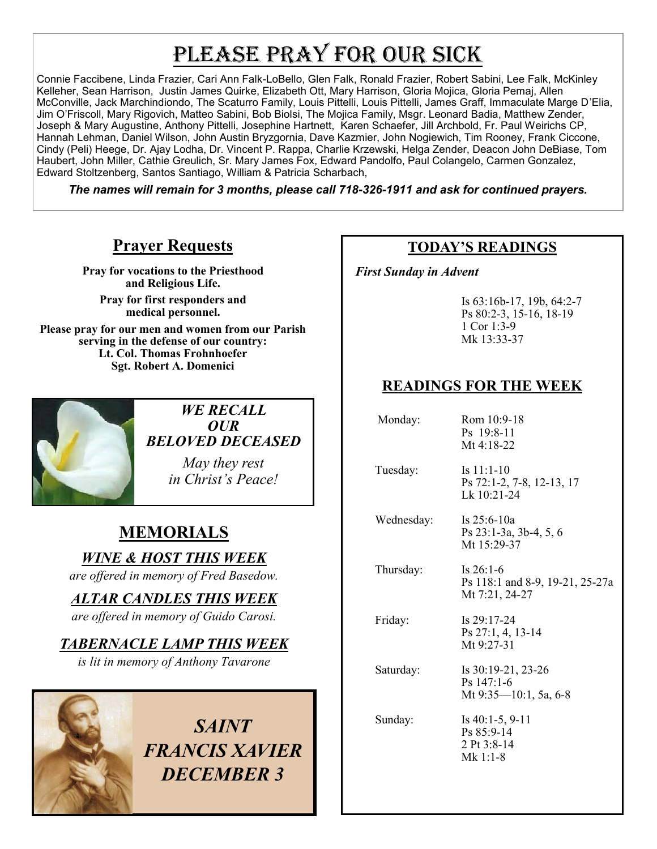# PLEASE PRAY FOR OUR SICK

Connie Faccibene, Linda Frazier, Cari Ann Falk-LoBello, Glen Falk, Ronald Frazier, Robert Sabini, Lee Falk, McKinley Kelleher, Sean Harrison, Justin James Quirke, Elizabeth Ott, Mary Harrison, Gloria Mojica, Gloria Pemaj, Allen McConville, Jack Marchindiondo, The Scaturro Family, Louis Pittelli, Louis Pittelli, James Graff, Immaculate Marge D'Elia, Jim O'Friscoll, Mary Rigovich, Matteo Sabini, Bob Biolsi, The Mojica Family, Msgr. Leonard Badia, Matthew Zender, Joseph & Mary Augustine, Anthony Pittelli, Josephine Hartnett, Karen Schaefer, Jill Archbold, Fr. Paul Weirichs CP, Hannah Lehman, Daniel Wilson, John Austin Bryzgornia, Dave Kazmier, John Nogiewich, Tim Rooney, Frank Ciccone, Cindy (Peli) Heege, Dr. Ajay Lodha, Dr. Vincent P. Rappa, Charlie Krzewski, Helga Zender, Deacon John DeBiase, Tom Haubert, John Miller, Cathie Greulich, Sr. Mary James Fox, Edward Pandolfo, Paul Colangelo, Carmen Gonzalez, Edward Stoltzenberg, Santos Santiago, William & Patricia Scharbach,

*The names will remain for 3 months, please call 718-326-1911 and ask for continued prayers.*

## **Prayer Requests**

**Pray for vocations to the Priesthood and Religious Life. Pray for first responders and**

**medical personnel. Please pray for our men and women from our Parish serving in the defense of our country:** 

**Lt. Col. Thomas Frohnhoefer Sgt. Robert A. Domenici** 



*WE RECALL OUR BELOVED DECEASED*

> *May they rest in Christ's Peace!*

# **MEMORIALS**

## *WINE & HOST THIS WEEK*

*are offered in memory of Fred Basedow.*

*ALTAR CANDLES THIS WEEK*

*are offered in memory of Guido Carosi.*

## *TABERNACLE LAMP THIS WEEK*

*is lit in memory of Anthony Tavarone* 

*SAINT FRANCIS XAVIER DECEMBER 3*

#### **TODAY'S READINGS**

 *First Sunday in Advent* 

Is 63:16b-17, 19b, 64:2-7 Ps 80:2-3, 15-16, 18-19 1 Cor 1:3-9 Mk 13:33-37

## **READINGS FOR THE WEEK**

| Monday:    | Rom 10:9-18<br>Ps 19:8-11<br>Mt 4:18-22                          |
|------------|------------------------------------------------------------------|
| Tuesday:   | Is $11:1-10$<br>Ps 72:1-2, 7-8, 12-13, 17<br>Lk 10:21-24         |
| Wednesday: | Is $25:6-10a$<br>Ps $23:1-3a$ , $3b-4$ , $5, 6$<br>Mt 15:29-37   |
| Thursday:  | Is $26:1-6$<br>Ps 118:1 and 8-9, 19-21, 25-27a<br>Mt 7:21, 24-27 |
| Friday:    | Is $29:17-24$<br>Ps 27:1, 4, 13-14<br>Mt $9:27-31$               |
| Saturday:  | Is 30:19-21, 23-26<br>$Ps$ 147:1-6<br>Mt $9:35-10:1, 5a, 6-8$    |
| Sunday:    | Is $40:1-5, 9-11$<br>Ps 85:9-14<br>2 Pt 3:8-14<br>Mk $1:1-8$     |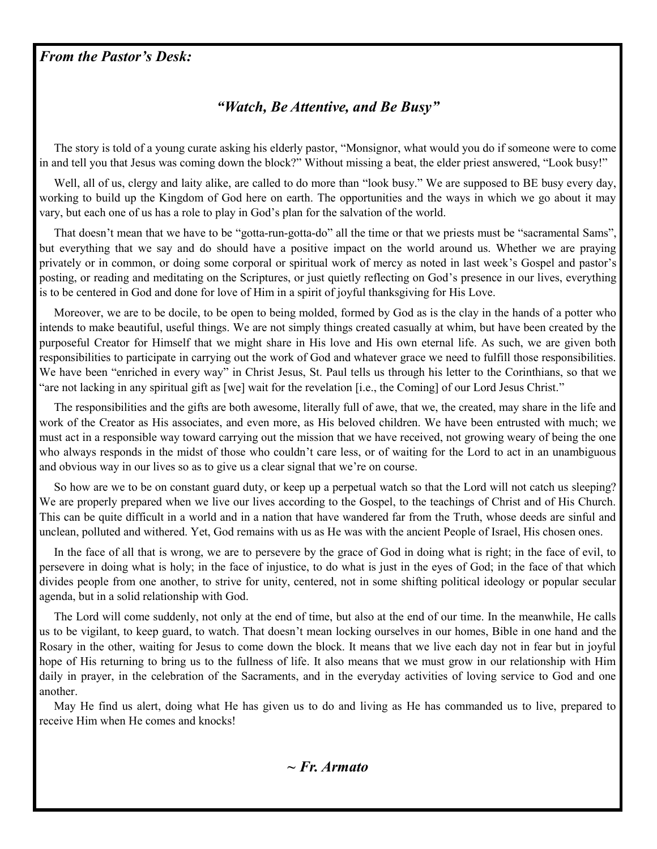#### *From the Pastor's Desk:*

#### *"Watch, Be Attentive, and Be Busy"*

 The story is told of a young curate asking his elderly pastor, "Monsignor, what would you do if someone were to come in and tell you that Jesus was coming down the block?" Without missing a beat, the elder priest answered, "Look busy!"

Well, all of us, clergy and laity alike, are called to do more than "look busy." We are supposed to BE busy every day, working to build up the Kingdom of God here on earth. The opportunities and the ways in which we go about it may vary, but each one of us has a role to play in God's plan for the salvation of the world.

 That doesn't mean that we have to be "gotta-run-gotta-do" all the time or that we priests must be "sacramental Sams", but everything that we say and do should have a positive impact on the world around us. Whether we are praying privately or in common, or doing some corporal or spiritual work of mercy as noted in last week's Gospel and pastor's posting, or reading and meditating on the Scriptures, or just quietly reflecting on God's presence in our lives, everything is to be centered in God and done for love of Him in a spirit of joyful thanksgiving for His Love.

 Moreover, we are to be docile, to be open to being molded, formed by God as is the clay in the hands of a potter who intends to make beautiful, useful things. We are not simply things created casually at whim, but have been created by the purposeful Creator for Himself that we might share in His love and His own eternal life. As such, we are given both responsibilities to participate in carrying out the work of God and whatever grace we need to fulfill those responsibilities. We have been "enriched in every way" in Christ Jesus, St. Paul tells us through his letter to the Corinthians, so that we "are not lacking in any spiritual gift as [we] wait for the revelation [i.e., the Coming] of our Lord Jesus Christ."

 The responsibilities and the gifts are both awesome, literally full of awe, that we, the created, may share in the life and work of the Creator as His associates, and even more, as His beloved children. We have been entrusted with much; we must act in a responsible way toward carrying out the mission that we have received, not growing weary of being the one who always responds in the midst of those who couldn't care less, or of waiting for the Lord to act in an unambiguous and obvious way in our lives so as to give us a clear signal that we're on course.

 So how are we to be on constant guard duty, or keep up a perpetual watch so that the Lord will not catch us sleeping? We are properly prepared when we live our lives according to the Gospel, to the teachings of Christ and of His Church. This can be quite difficult in a world and in a nation that have wandered far from the Truth, whose deeds are sinful and unclean, polluted and withered. Yet, God remains with us as He was with the ancient People of Israel, His chosen ones.

 In the face of all that is wrong, we are to persevere by the grace of God in doing what is right; in the face of evil, to persevere in doing what is holy; in the face of injustice, to do what is just in the eyes of God; in the face of that which divides people from one another, to strive for unity, centered, not in some shifting political ideology or popular secular agenda, but in a solid relationship with God.

 The Lord will come suddenly, not only at the end of time, but also at the end of our time. In the meanwhile, He calls us to be vigilant, to keep guard, to watch. That doesn't mean locking ourselves in our homes, Bible in one hand and the Rosary in the other, waiting for Jesus to come down the block. It means that we live each day not in fear but in joyful hope of His returning to bring us to the fullness of life. It also means that we must grow in our relationship with Him daily in prayer, in the celebration of the Sacraments, and in the everyday activities of loving service to God and one another.

 May He find us alert, doing what He has given us to do and living as He has commanded us to live, prepared to receive Him when He comes and knocks!

*~ Fr. Armato*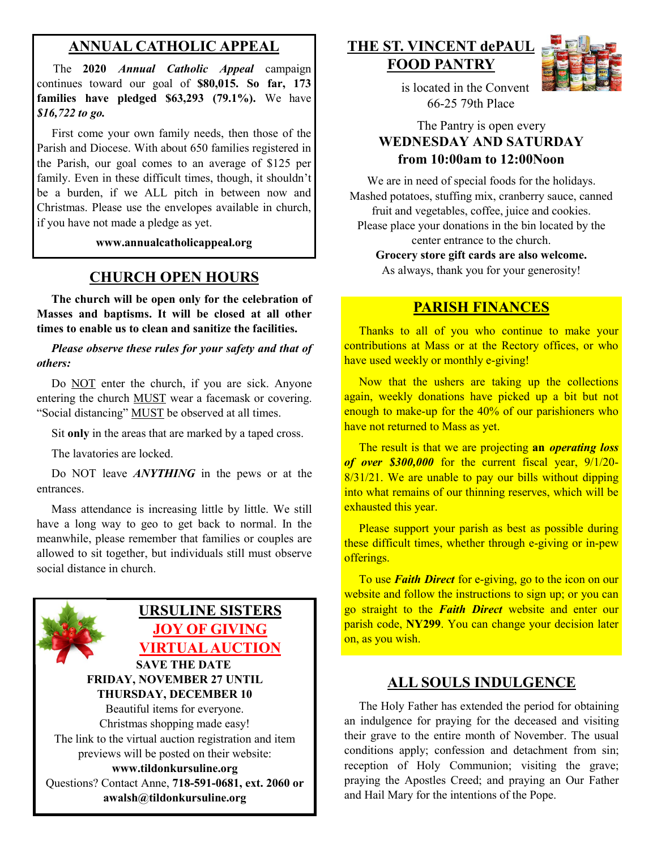#### **ANNUAL CATHOLIC APPEAL**

 The **2020** *Annual Catholic Appeal* campaign continues toward our goal of **\$80,015. So far, 173 families have pledged \$63,293 (79.1%).** We have *\$16,722 to go.* 

 First come your own family needs, then those of the Parish and Diocese. With about 650 families registered in the Parish, our goal comes to an average of \$125 per family. Even in these difficult times, though, it shouldn't be a burden, if we ALL pitch in between now and Christmas. Please use the envelopes available in church, if you have not made a pledge as yet.

**www.annualcatholicappeal.org** 

#### **CHURCH OPEN HOURS**

 **The church will be open only for the celebration of Masses and baptisms. It will be closed at all other times to enable us to clean and sanitize the facilities.**

 *Please observe these rules for your safety and that of others:*

Do NOT enter the church, if you are sick. Anyone entering the church MUST wear a facemask or covering. "Social distancing" MUST be observed at all times.

Sit **only** in the areas that are marked by a taped cross.

The lavatories are locked.

 Do NOT leave *ANYTHING* in the pews or at the entrances.

 Mass attendance is increasing little by little. We still have a long way to geo to get back to normal. In the meanwhile, please remember that families or couples are allowed to sit together, but individuals still must observe social distance in church.



**THE ST. VINCENT dePAUL FOOD PANTRY**



 is located in the Convent 66-25 79th Place

#### The Pantry is open every **WEDNESDAY AND SATURDAY from 10:00am to 12:00Noon**

We are in need of special foods for the holidays. Mashed potatoes, stuffing mix, cranberry sauce, canned fruit and vegetables, coffee, juice and cookies.

Please place your donations in the bin located by the center entrance to the church.

**Grocery store gift cards are also welcome.**

As always, thank you for your generosity!

#### **PARISH FINANCES**

 Thanks to all of you who continue to make your contributions at Mass or at the Rectory offices, or who have used weekly or monthly e-giving!

Now that the ushers are taking up the collections again, weekly donations have picked up a bit but not enough to make-up for the 40% of our parishioners who have not returned to Mass as yet.

 The result is that we are projecting **an** *operating loss of over \$300,000* for the current fiscal year, 9/1/20- 8/31/21. We are unable to pay our bills without dipping into what remains of our thinning reserves, which will be exhausted this year.

Please support your parish as best as possible during these difficult times, whether through e-giving or in-pew offerings.

 To use *Faith Direct* for e-giving, go to the icon on our website and follow the instructions to sign up; or you can go straight to the *Faith Direct* website and enter our parish code, **NY299**. You can change your decision later on, as you wish.

#### **ALL SOULS INDULGENCE**

 The Holy Father has extended the period for obtaining an indulgence for praying for the deceased and visiting their grave to the entire month of November. The usual conditions apply; confession and detachment from sin; reception of Holy Communion; visiting the grave; praying the Apostles Creed; and praying an Our Father and Hail Mary for the intentions of the Pope.